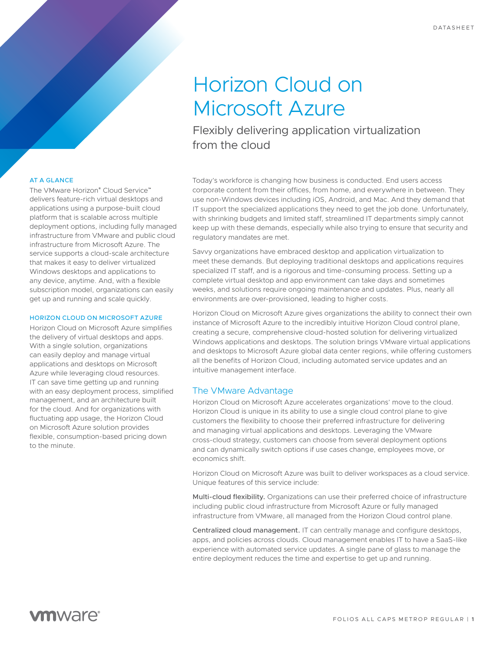# Horizon Cloud on Microsoft Azure

Flexibly delivering application virtualization from the cloud

## AT A GLANCE

The VMware Horizon® Cloud Service™ delivers feature-rich virtual desktops and applications using a purpose-built cloud platform that is scalable across multiple deployment options, including fully managed infrastructure from VMware and public cloud infrastructure from Microsoft Azure. The service supports a cloud-scale architecture that makes it easy to deliver virtualized Windows desktops and applications to any device, anytime. And, with a flexible subscription model, organizations can easily get up and running and scale quickly.

#### HORIZON CLOUD ON MICROSOFT AZURE

Horizon Cloud on Microsoft Azure simplifies the delivery of virtual desktops and apps. With a single solution, organizations can easily deploy and manage virtual applications and desktops on Microsoft Azure while leveraging cloud resources. IT can save time getting up and running with an easy deployment process, simplified management, and an architecture built for the cloud. And for organizations with fluctuating app usage, the Horizon Cloud on Microsoft Azure solution provides flexible, consumption-based pricing down to the minute.

Today's workforce is changing how business is conducted. End users access corporate content from their offices, from home, and everywhere in between. They use non-Windows devices including iOS, Android, and Mac. And they demand that IT support the specialized applications they need to get the job done. Unfortunately, with shrinking budgets and limited staff, streamlined IT departments simply cannot keep up with these demands, especially while also trying to ensure that security and regulatory mandates are met.

Savvy organizations have embraced desktop and application virtualization to meet these demands. But deploying traditional desktops and applications requires specialized IT staff, and is a rigorous and time-consuming process. Setting up a complete virtual desktop and app environment can take days and sometimes weeks, and solutions require ongoing maintenance and updates. Plus, nearly all environments are over-provisioned, leading to higher costs.

Horizon Cloud on Microsoft Azure gives organizations the ability to connect their own instance of Microsoft Azure to the incredibly intuitive Horizon Cloud control plane, creating a secure, comprehensive cloud-hosted solution for delivering virtualized Windows applications and desktops. The solution brings VMware virtual applications and desktops to Microsoft Azure global data center regions, while offering customers all the benefits of Horizon Cloud, including automated service updates and an intuitive management interface.

## The VMware Advantage

Horizon Cloud on Microsoft Azure accelerates organizations' move to the cloud. Horizon Cloud is unique in its ability to use a single cloud control plane to give customers the flexibility to choose their preferred infrastructure for delivering and managing virtual applications and desktops. Leveraging the VMware cross-cloud strategy, customers can choose from several deployment options and can dynamically switch options if use cases change, employees move, or economics shift.

Horizon Cloud on Microsoft Azure was built to deliver workspaces as a cloud service. Unique features of this service include:

Multi-cloud flexibility. Organizations can use their preferred choice of infrastructure including public cloud infrastructure from Microsoft Azure or fully managed infrastructure from VMware, all managed from the Horizon Cloud control plane.

Centralized cloud management. IT can centrally manage and configure desktops, apps, and policies across clouds. Cloud management enables IT to have a SaaS-like experience with automated service updates. A single pane of glass to manage the entire deployment reduces the time and expertise to get up and running.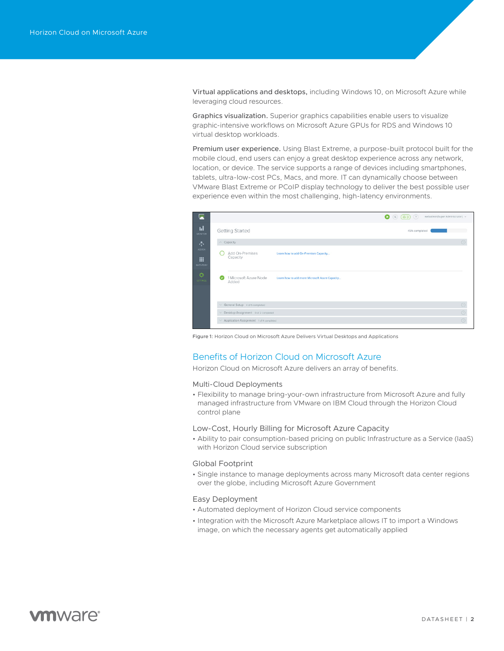Virtual applications and desktops, including Windows 10, on Microsoft Azure while leveraging cloud resources.

Graphics visualization. Superior graphics capabilities enable users to visualize graphic-intensive workflows on Microsoft Azure GPUs for RDS and Windows 10 virtual desktop workloads.

Premium user experience. Using Blast Extreme, a purpose-built protocol built for the mobile cloud, end users can enjoy a great desktop experience across any network, location, or device. The service supports a range of devices including smartphones, tablets, ultra-low-cost PCs, Macs, and more. IT can dynamically choose between VMware Blast Extreme or PCoIP display technology to deliver the best possible user experience even within the most challenging, high-latency environments.

|   |                                                |                                                | $\bullet$ (a) (a) (b)<br>webadmin(Super Administrator) v |
|---|------------------------------------------------|------------------------------------------------|----------------------------------------------------------|
|   | Getting Started                                |                                                | 45% completed                                            |
|   | $\land$ Capacity                               |                                                | $\odot$                                                  |
|   | Add On-Premises<br>Capacity                    | Learn how to add On-Premises Capacity          |                                                          |
| ø | 1 Microsoft Azure Node<br>Added                | Learn how to add more Microsoft Azure Capacity |                                                          |
|   | General Setup 4 of 5 completed                 |                                                | $\odot$                                                  |
|   | V Desktop Assignment 0 of 2 completed          |                                                | $\odot$                                                  |
|   | $\vee$ Application Assignment 1 of 4 completed |                                                | $\odot$                                                  |

Figure 1: Horizon Cloud on Microsoft Azure Delivers Virtual Desktops and Applications

## Benefits of Horizon Cloud on Microsoft Azure

Horizon Cloud on Microsoft Azure delivers an array of benefits.

## Multi-Cloud Deployments

• Flexibility to manage bring-your-own infrastructure from Microsoft Azure and fully managed infrastructure from VMware on IBM Cloud through the Horizon Cloud control plane

#### Low-Cost, Hourly Billing for Microsoft Azure Capacity

• Ability to pair consumption-based pricing on public Infrastructure as a Service (IaaS) with Horizon Cloud service subscription

#### Global Footprint

• Single instance to manage deployments across many Microsoft data center regions over the globe, including Microsoft Azure Government

## Easy Deployment

- Automated deployment of Horizon Cloud service components
- Integration with the Microsoft Azure Marketplace allows IT to import a Windows image, on which the necessary agents get automatically applied